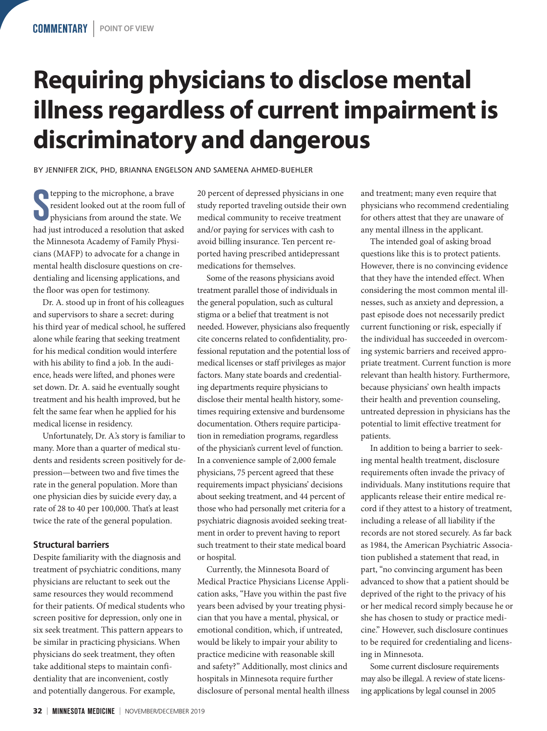# **Requiring physicians to disclose mental illness regardless of current impairment is discriminatory and dangerous**

BY JENNIFER ZICK, PHD, BRIANNA ENGELSON AND SAMEENA AHMED-BUEHLER

S tepping to the microphone, a brave resident looked out at the room full of physicians from around the state. We had just introduced a resolution that asked the Minnesota Academy of Family Physicians (MAFP) to advocate for a change in mental health disclosure questions on credentialing and licensing applications, and the floor was open for testimony.

Dr. A. stood up in front of his colleagues and supervisors to share a secret: during his third year of medical school, he suffered alone while fearing that seeking treatment for his medical condition would interfere with his ability to find a job. In the audience, heads were lifted, and phones were set down. Dr. A. said he eventually sought treatment and his health improved, but he felt the same fear when he applied for his medical license in residency.

Unfortunately, Dr. A.'s story is familiar to many. More than a quarter of medical students and residents screen positively for depression—between two and five times the rate in the general population. More than one physician dies by suicide every day, a rate of 28 to 40 per 100,000. That's at least twice the rate of the general population.

## **Structural barriers**

Despite familiarity with the diagnosis and treatment of psychiatric conditions, many physicians are reluctant to seek out the same resources they would recommend for their patients. Of medical students who screen positive for depression, only one in six seek treatment. This pattern appears to be similar in practicing physicians. When physicians do seek treatment, they often take additional steps to maintain confidentiality that are inconvenient, costly and potentially dangerous. For example,

20 percent of depressed physicians in one study reported traveling outside their own medical community to receive treatment and/or paying for services with cash to avoid billing insurance. Ten percent reported having prescribed antidepressant medications for themselves.

Some of the reasons physicians avoid treatment parallel those of individuals in the general population, such as cultural stigma or a belief that treatment is not needed. However, physicians also frequently cite concerns related to confidentiality, professional reputation and the potential loss of medical licenses or staff privileges as major factors. Many state boards and credentialing departments require physicians to disclose their mental health history, sometimes requiring extensive and burdensome documentation. Others require participation in remediation programs, regardless of the physician's current level of function. In a convenience sample of 2,000 female physicians, 75 percent agreed that these requirements impact physicians' decisions about seeking treatment, and 44 percent of those who had personally met criteria for a psychiatric diagnosis avoided seeking treatment in order to prevent having to report such treatment to their state medical board or hospital.

Currently, the Minnesota Board of Medical Practice Physicians License Application asks, "Have you within the past five years been advised by your treating physician that you have a mental, physical, or emotional condition, which, if untreated, would be likely to impair your ability to practice medicine with reasonable skill and safety?" Additionally, most clinics and hospitals in Minnesota require further disclosure of personal mental health illness and treatment; many even require that physicians who recommend credentialing for others attest that they are unaware of any mental illness in the applicant.

The intended goal of asking broad questions like this is to protect patients. However, there is no convincing evidence that they have the intended effect. When considering the most common mental illnesses, such as anxiety and depression, a past episode does not necessarily predict current functioning or risk, especially if the individual has succeeded in overcoming systemic barriers and received appropriate treatment. Current function is more relevant than health history. Furthermore, because physicians' own health impacts their health and prevention counseling, untreated depression in physicians has the potential to limit effective treatment for patients.

In addition to being a barrier to seeking mental health treatment, disclosure requirements often invade the privacy of individuals. Many institutions require that applicants release their entire medical record if they attest to a history of treatment, including a release of all liability if the records are not stored securely. As far back as 1984, the American Psychiatric Association published a statement that read, in part, "no convincing argument has been advanced to show that a patient should be deprived of the right to the privacy of his or her medical record simply because he or she has chosen to study or practice medicine." However, such disclosure continues to be required for credentialing and licensing in Minnesota.

Some current disclosure requirements may also be illegal. A review of state licensing applications by legal counsel in 2005